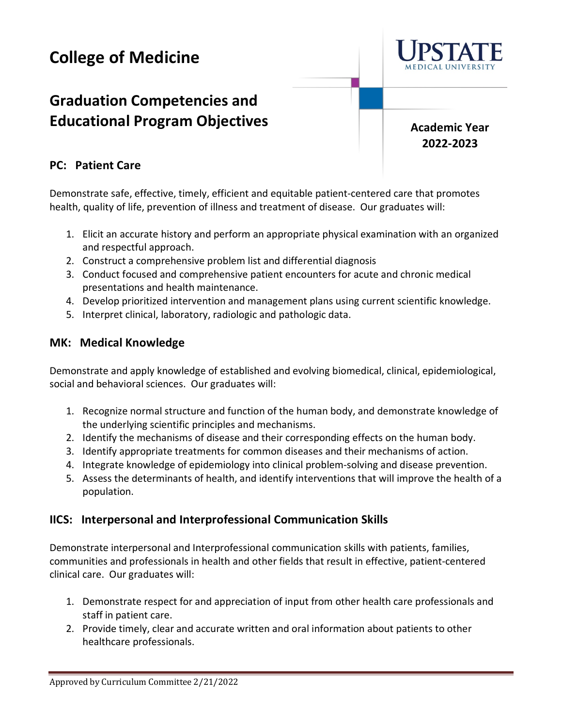# **College of Medicine**

# **Graduation Competencies and Educational Program Objectives**

**Academic Year 2022-2023**

#### **PC: Patient Care**

Demonstrate safe, effective, timely, efficient and equitable patient-centered care that promotes health, quality of life, prevention of illness and treatment of disease. Our graduates will:

- 1. Elicit an accurate history and perform an appropriate physical examination with an organized and respectful approach.
- 2. Construct a comprehensive problem list and differential diagnosis
- 3. Conduct focused and comprehensive patient encounters for acute and chronic medical presentations and health maintenance.
- 4. Develop prioritized intervention and management plans using current scientific knowledge.
- 5. Interpret clinical, laboratory, radiologic and pathologic data.

#### **MK: Medical Knowledge**

Demonstrate and apply knowledge of established and evolving biomedical, clinical, epidemiological, social and behavioral sciences. Our graduates will:

- 1. Recognize normal structure and function of the human body, and demonstrate knowledge of the underlying scientific principles and mechanisms.
- 2. Identify the mechanisms of disease and their corresponding effects on the human body.
- 3. Identify appropriate treatments for common diseases and their mechanisms of action.
- 4. Integrate knowledge of epidemiology into clinical problem-solving and disease prevention.
- 5. Assess the determinants of health, and identify interventions that will improve the health of a population.

#### **IICS: Interpersonal and Interprofessional Communication Skills**

Demonstrate interpersonal and Interprofessional communication skills with patients, families, communities and professionals in health and other fields that result in effective, patient-centered clinical care. Our graduates will:

- 1. Demonstrate respect for and appreciation of input from other health care professionals and staff in patient care.
- 2. Provide timely, clear and accurate written and oral information about patients to other healthcare professionals.